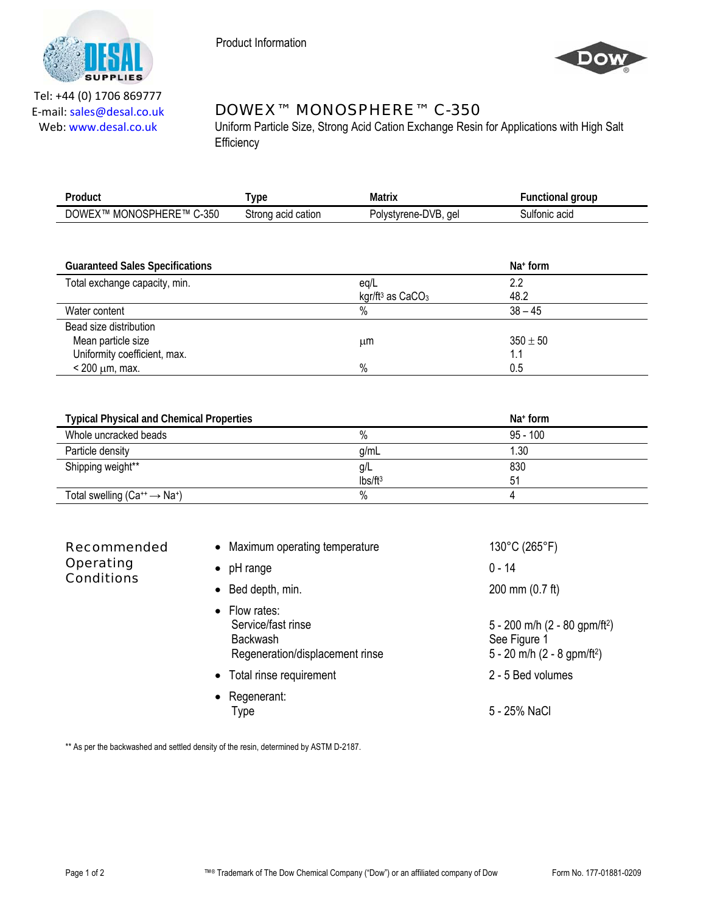



Tel: +44 (0) 1706 869777 E‐mail: sales@desal.co.uk Web: www.desal.co.uk

# DOWEX™ MONOSPHERE™ C-350

Uniform Particle Size, Strong Acid Cation Exchange Resin for Applications with High Salt **Efficiency** 

| Product                                   | vpe                | Matrix                  | unctional group- |
|-------------------------------------------|--------------------|-------------------------|------------------|
| -350.<br>' MONOSPHERE™ <b>\</b><br>DOWEX™ | Strong acid cation | Polystyrene-DVB,<br>ael | Sulfonic acid    |

| <b>Guaranteed Sales Specifications</b> |                                | $Na+$ form   |  |
|----------------------------------------|--------------------------------|--------------|--|
| Total exchange capacity, min.          | eq/L                           | 2.2          |  |
|                                        | kgr/ft <sup>3</sup> as $CaCO3$ | 48.2         |  |
| Water content                          | %                              | $38 - 45$    |  |
| Bead size distribution                 |                                |              |  |
| Mean particle size                     | ււm                            | $350 \pm 50$ |  |
| Uniformity coefficient, max.           |                                | 1.1          |  |
| $<$ 200 $\mu$ m, max.                  | $\%$                           | 0.5          |  |

| <b>Typical Physical and Chemical Properties</b> |                     | $Na+form$  |
|-------------------------------------------------|---------------------|------------|
| Whole uncracked beads                           | %                   | $95 - 100$ |
| Particle density                                | q/mL                | 1.30       |
| Shipping weight**                               | g/L                 | 830        |
|                                                 | Ibs/ft <sup>3</sup> | 51         |
| Total swelling $(Ca^{**} \rightarrow Na^*)$     | $\%$                |            |

| • Maximum operating temperature                                                                      | $130^{\circ}$ C (265 $^{\circ}$ F)                                                                   |
|------------------------------------------------------------------------------------------------------|------------------------------------------------------------------------------------------------------|
| pH range<br>$\bullet$                                                                                | $0 - 14$                                                                                             |
| Bed depth, min.<br>$\bullet$                                                                         | 200 mm (0.7 ft)                                                                                      |
| Flow rates:<br>$\bullet$<br>Service/fast rinse<br><b>Backwash</b><br>Regeneration/displacement rinse | 5 - 200 m/h (2 - 80 gpm/ft <sup>2</sup> )<br>See Figure 1<br>5 - 20 m/h (2 - 8 gpm/ft <sup>2</sup> ) |
| • Total rinse requirement                                                                            | 2 - 5 Bed volumes                                                                                    |
| • Regenerant:<br>Type                                                                                | 5 - 25% NaCl                                                                                         |

\*\* As per the backwashed and settled density of the resin, determined by ASTM D-2187.

Recommended

**Operating** Conditions